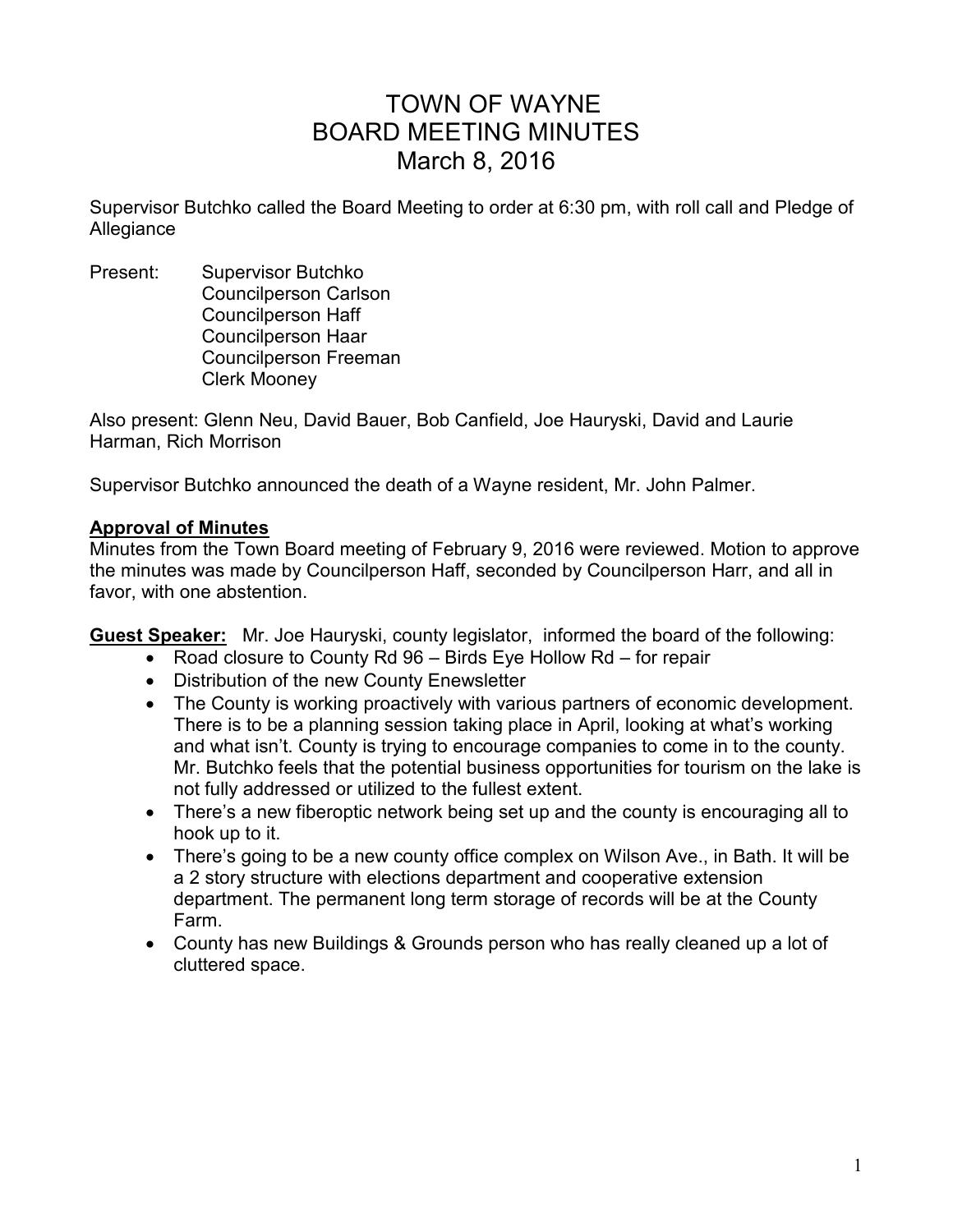# TOWN OF WAYNE BOARD MEETING MINUTES March 8, 2016

Supervisor Butchko called the Board Meeting to order at 6:30 pm, with roll call and Pledge of Allegiance

Present: Supervisor Butchko Councilperson Carlson Councilperson Haff Councilperson Haar Councilperson Freeman Clerk Mooney

Also present: Glenn Neu, David Bauer, Bob Canfield, Joe Hauryski, David and Laurie Harman, Rich Morrison

Supervisor Butchko announced the death of a Wayne resident, Mr. John Palmer.

### **Approval of Minutes**

Minutes from the Town Board meeting of February 9, 2016 were reviewed. Motion to approve the minutes was made by Councilperson Haff, seconded by Councilperson Harr, and all in favor, with one abstention.

**Guest Speaker:** Mr. Joe Hauryski, county legislator, informed the board of the following:

- Road closure to County Rd 96 Birds Eye Hollow Rd for repair
- Distribution of the new County Enewsletter
- The County is working proactively with various partners of economic development. There is to be a planning session taking place in April, looking at what's working and what isn't. County is trying to encourage companies to come in to the county. Mr. Butchko feels that the potential business opportunities for tourism on the lake is not fully addressed or utilized to the fullest extent.
- There's a new fiberoptic network being set up and the county is encouraging all to hook up to it.
- There's going to be a new county office complex on Wilson Ave., in Bath. It will be a 2 story structure with elections department and cooperative extension department. The permanent long term storage of records will be at the County Farm.
- County has new Buildings & Grounds person who has really cleaned up a lot of cluttered space.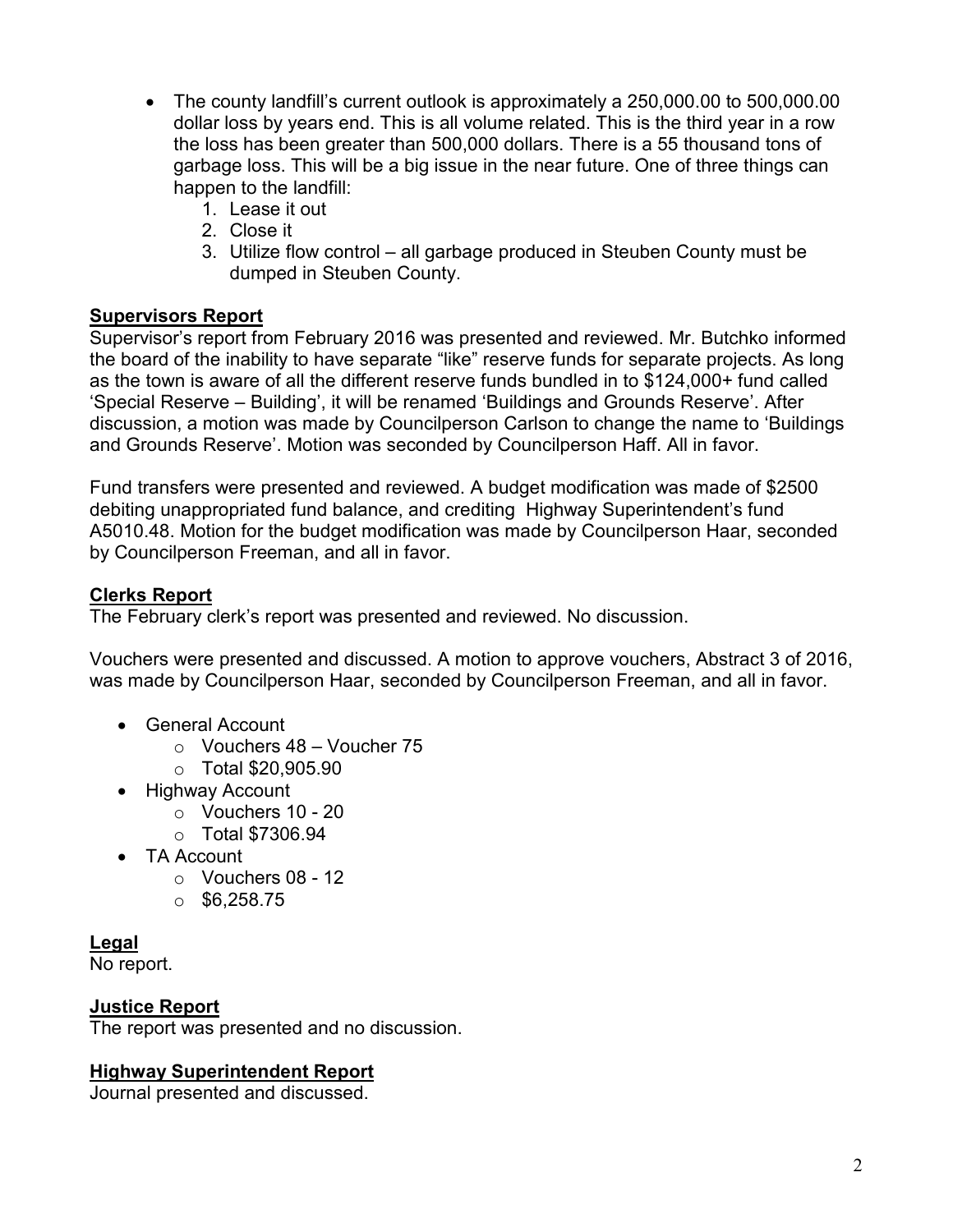- The county landfill's current outlook is approximately a 250,000.00 to 500,000.00 dollar loss by years end. This is all volume related. This is the third year in a row the loss has been greater than 500,000 dollars. There is a 55 thousand tons of garbage loss. This will be a big issue in the near future. One of three things can happen to the landfill:
	- 1. Lease it out
	- 2. Close it
	- 3. Utilize flow control all garbage produced in Steuben County must be dumped in Steuben County.

## **Supervisors Report**

Supervisor's report from February 2016 was presented and reviewed. Mr. Butchko informed the board of the inability to have separate "like" reserve funds for separate projects. As long as the town is aware of all the different reserve funds bundled in to \$124,000+ fund called 'Special Reserve – Building', it will be renamed 'Buildings and Grounds Reserve'. After discussion, a motion was made by Councilperson Carlson to change the name to 'Buildings and Grounds Reserve'. Motion was seconded by Councilperson Haff. All in favor.

Fund transfers were presented and reviewed. A budget modification was made of \$2500 debiting unappropriated fund balance, and crediting Highway Superintendent's fund A5010.48. Motion for the budget modification was made by Councilperson Haar, seconded by Councilperson Freeman, and all in favor.

## **Clerks Report**

The February clerk's report was presented and reviewed. No discussion.

Vouchers were presented and discussed. A motion to approve vouchers, Abstract 3 of 2016, was made by Councilperson Haar, seconded by Councilperson Freeman, and all in favor.

- General Account
	- $\circ$  Vouchers 48 Voucher 75
	- o Total \$20,905.90
- Highway Account
	- o Vouchers 10 20
	- $\circ$  Total \$7306.94
- TA Account
	- $\circ$  Vouchers 08 12
	- $\circ$  \$6,258.75

# **Legal**

No report.

## **Justice Report**

The report was presented and no discussion.

# **Highway Superintendent Report**

Journal presented and discussed.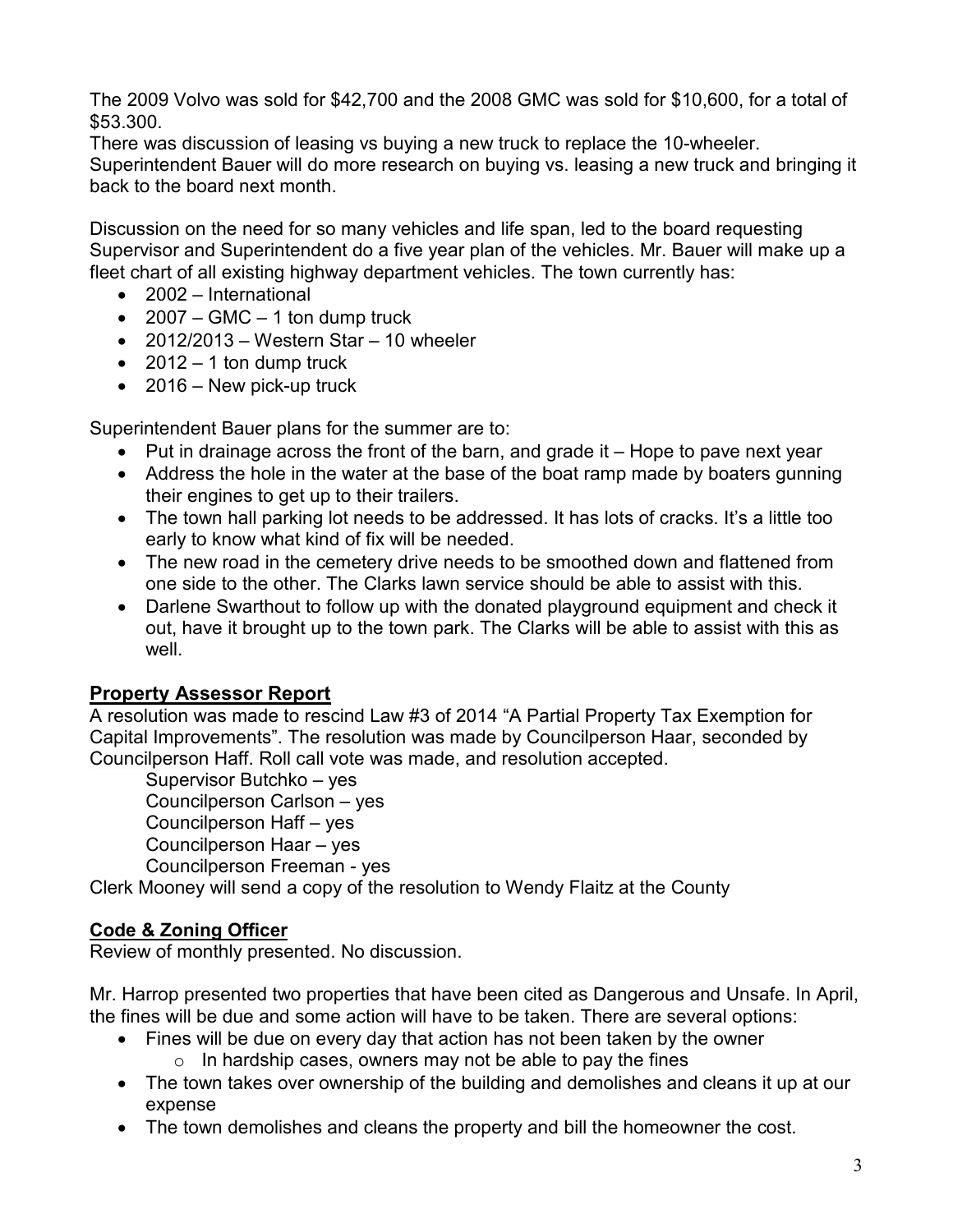The 2009 Volvo was sold for \$42,700 and the 2008 GMC was sold for \$10,600, for a total of \$53.300.

There was discussion of leasing vs buying a new truck to replace the 10-wheeler. Superintendent Bauer will do more research on buying vs. leasing a new truck and bringing it back to the board next month.

Discussion on the need for so many vehicles and life span, led to the board requesting Supervisor and Superintendent do a five year plan of the vehicles. Mr. Bauer will make up a fleet chart of all existing highway department vehicles. The town currently has:

- 2002 International
- $2007 GMC 1$  ton dump truck
- $\bullet$  2012/2013 Western Star 10 wheeler
- $\bullet$  2012 1 ton dump truck
- 2016 New pick-up truck

Superintendent Bauer plans for the summer are to:

- Put in drainage across the front of the barn, and grade it Hope to pave next year
- Address the hole in the water at the base of the boat ramp made by boaters gunning their engines to get up to their trailers.
- The town hall parking lot needs to be addressed. It has lots of cracks. It's a little too early to know what kind of fix will be needed.
- The new road in the cemetery drive needs to be smoothed down and flattened from one side to the other. The Clarks lawn service should be able to assist with this.
- Darlene Swarthout to follow up with the donated playground equipment and check it out, have it brought up to the town park. The Clarks will be able to assist with this as well.

# **Property Assessor Report**

A resolution was made to rescind Law #3 of 2014 "A Partial Property Tax Exemption for Capital Improvements". The resolution was made by Councilperson Haar, seconded by Councilperson Haff. Roll call vote was made, and resolution accepted.

 Supervisor Butchko – yes Councilperson Carlson – yes Councilperson Haff – yes Councilperson Haar – yes Councilperson Freeman - yes

Clerk Mooney will send a copy of the resolution to Wendy Flaitz at the County

# **Code & Zoning Officer**

Review of monthly presented. No discussion.

Mr. Harrop presented two properties that have been cited as Dangerous and Unsafe. In April, the fines will be due and some action will have to be taken. There are several options:

- Fines will be due on every day that action has not been taken by the owner
	- $\circ$  In hardship cases, owners may not be able to pay the fines
- The town takes over ownership of the building and demolishes and cleans it up at our expense
- The town demolishes and cleans the property and bill the homeowner the cost.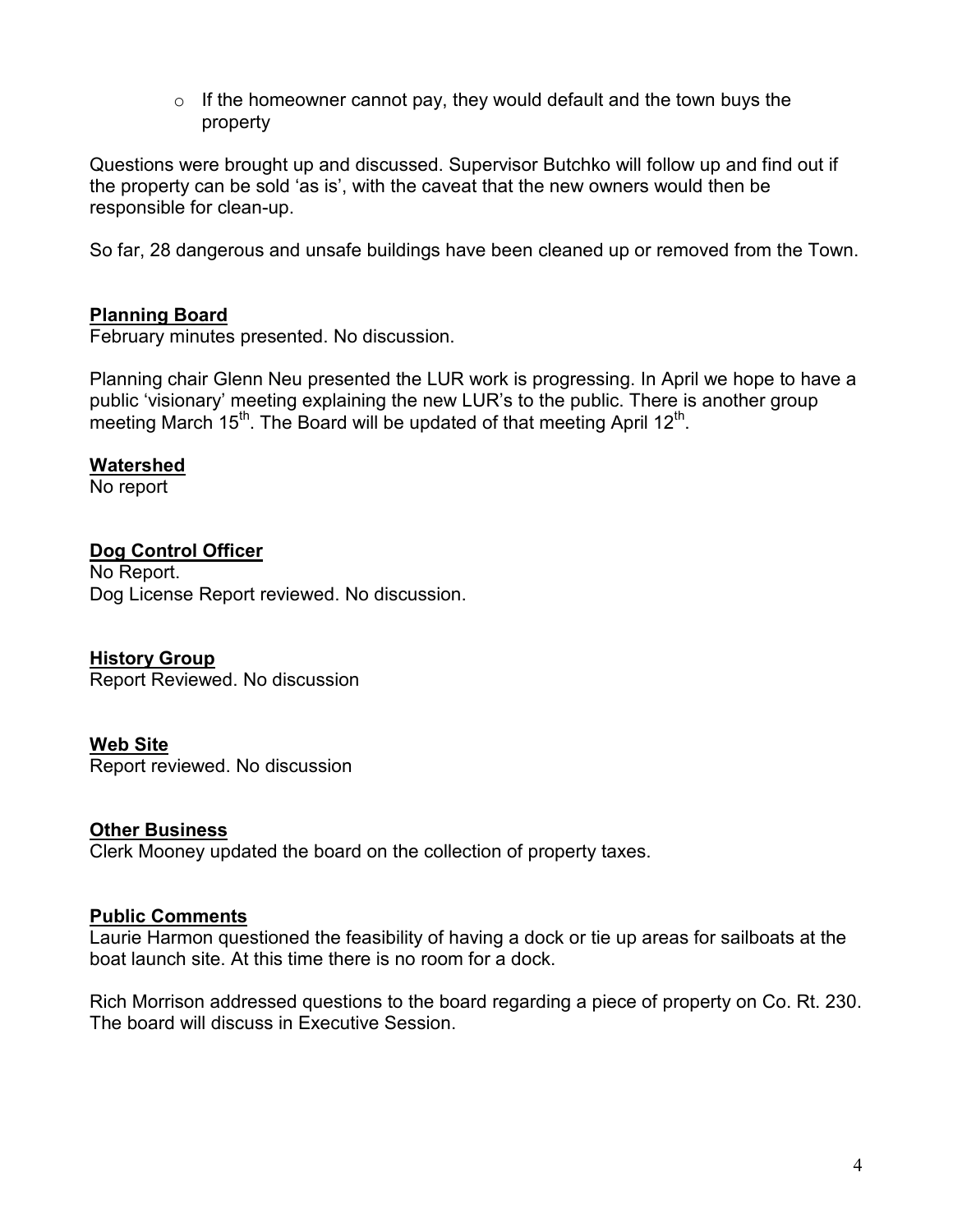$\circ$  If the homeowner cannot pay, they would default and the town buys the property

Questions were brought up and discussed. Supervisor Butchko will follow up and find out if the property can be sold 'as is', with the caveat that the new owners would then be responsible for clean-up.

So far, 28 dangerous and unsafe buildings have been cleaned up or removed from the Town.

### **Planning Board**

February minutes presented. No discussion.

Planning chair Glenn Neu presented the LUR work is progressing. In April we hope to have a public 'visionary' meeting explaining the new LUR's to the public. There is another group meeting March  $15<sup>th</sup>$ . The Board will be updated of that meeting April 12<sup>th</sup>.

#### **Watershed**

No report

### **Dog Control Officer**

No Report. Dog License Report reviewed. No discussion.

#### **History Group**

Report Reviewed. No discussion

#### **Web Site**

Report reviewed. No discussion

#### **Other Business**

Clerk Mooney updated the board on the collection of property taxes.

#### **Public Comments**

Laurie Harmon questioned the feasibility of having a dock or tie up areas for sailboats at the boat launch site. At this time there is no room for a dock.

Rich Morrison addressed questions to the board regarding a piece of property on Co. Rt. 230. The board will discuss in Executive Session.